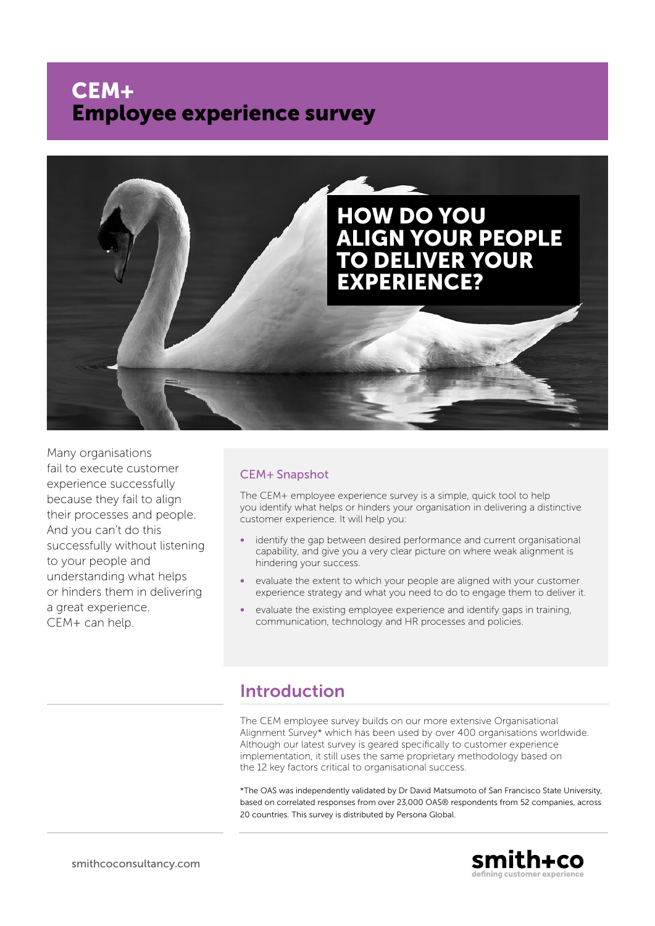# CEM+ Employee experience survey



Many organisations fail to execute customer experience successfully because they fail to align their processes and people. And you can't do this successfully without listening to your people and understanding what helps or hinders them in delivering a great experience. CEM+ can help.

#### CEM+ Snapshot

The CEM+ employee experience survey is a simple, quick tool to help you identify what helps or hinders your organisation in delivering a distinctive customer experience. It will help you:

- identify the gap between desired performance and current organisational capability, and give you a very clear picture on where weak alignment is hindering your success.
- evaluate the extent to which your people are aligned with your customer experience strategy and what you need to do to engage them to deliver it.
- evaluate the existing employee experience and identify gaps in training, communication, technology and HR processes and policies.

### Introduction

The CEM employee survey builds on our more extensive Organisational Alignment Survey\* which has been used by over 400 organisations worldwide. Although our latest survey is geared specifically to customer experience implementation, it still uses the same proprietary methodology based on the 12 key factors critical to organisational success.

\*The OAS was independently validated by Dr David Matsumoto of San Francisco State University, based on correlated responses from over 23,000 OAS® respondents from 52 companies, across 20 countries. This survey is distributed by Persona Global.

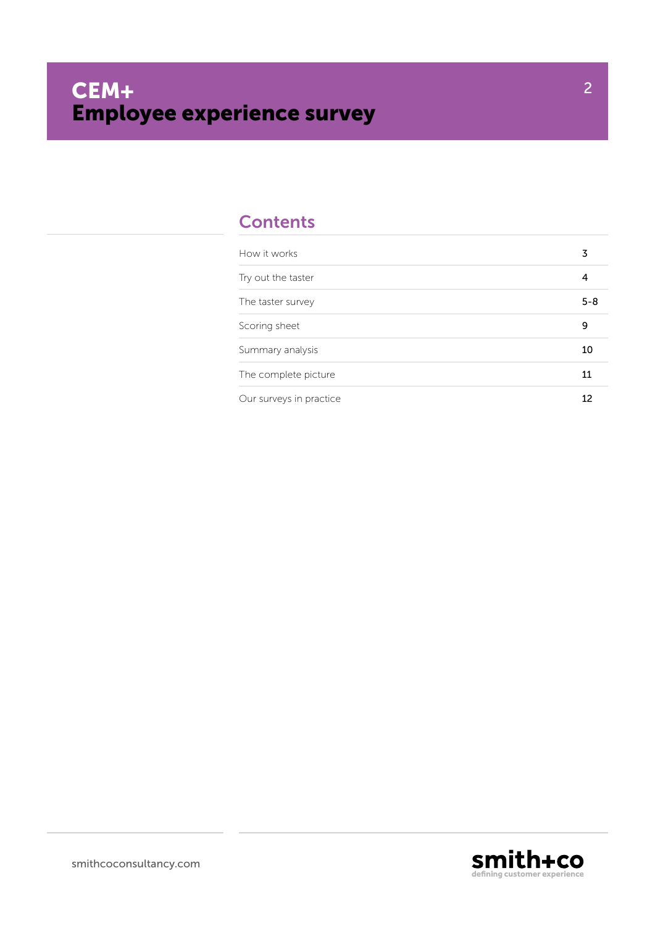### **Contents**

| How it works            | 3       |
|-------------------------|---------|
| Try out the taster      | 4       |
| The taster survey       | $5 - 8$ |
| Scoring sheet           | 9       |
| Summary analysis        | 10      |
| The complete picture    | 11      |
| Our surveys in practice |         |



2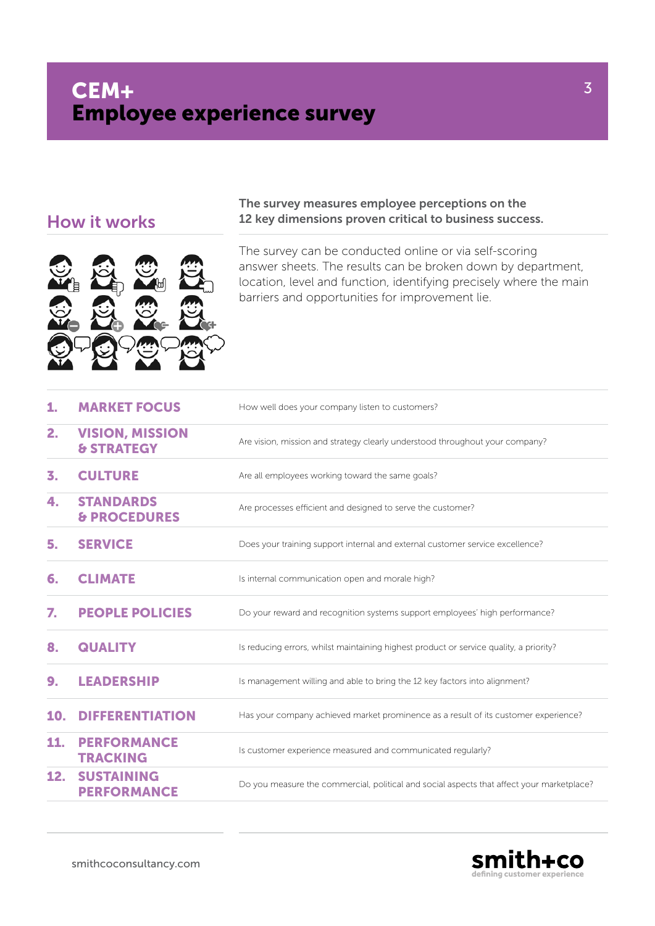### How it works



#### The survey measures employee perceptions on the 12 key dimensions proven critical to business success.

The survey can be conducted online or via self-scoring answer sheets. The results can be broken down by department, location, level and function, identifying precisely where the main barriers and opportunities for improvement lie.

| 1.  | <b>MARKET FOCUS</b>                             | How well does your company listen to customers?                                           |
|-----|-------------------------------------------------|-------------------------------------------------------------------------------------------|
| 2.  | <b>VISION, MISSION</b><br><b>&amp; STRATEGY</b> | Are vision, mission and strategy clearly understood throughout your company?              |
| 3.  | <b>CULTURE</b>                                  | Are all employees working toward the same goals?                                          |
| 4.  | <b>STANDARDS</b><br><b>&amp; PROCEDURES</b>     | Are processes efficient and designed to serve the customer?                               |
| 5.  | <b>SERVICE</b>                                  | Does your training support internal and external customer service excellence?             |
| 6.  | <b>CLIMATE</b>                                  | Is internal communication open and morale high?                                           |
| 7.  | <b>PEOPLE POLICIES</b>                          | Do your reward and recognition systems support employees' high performance?               |
| 8.  | <b>QUALITY</b>                                  | Is reducing errors, whilst maintaining highest product or service quality, a priority?    |
| 9.  | <b>LEADERSHIP</b>                               | Is management willing and able to bring the 12 key factors into alignment?                |
| 10. | <b>DIFFERENTIATION</b>                          | Has your company achieved market prominence as a result of its customer experience?       |
| 11. | <b>PERFORMANCE</b><br><b>TRACKING</b>           | Is customer experience measured and communicated regularly?                               |
| 12. | <b>SUSTAINING</b><br><b>PERFORMANCE</b>         | Do you measure the commercial, political and social aspects that affect your marketplace? |



3

smithcoconsultancy.com

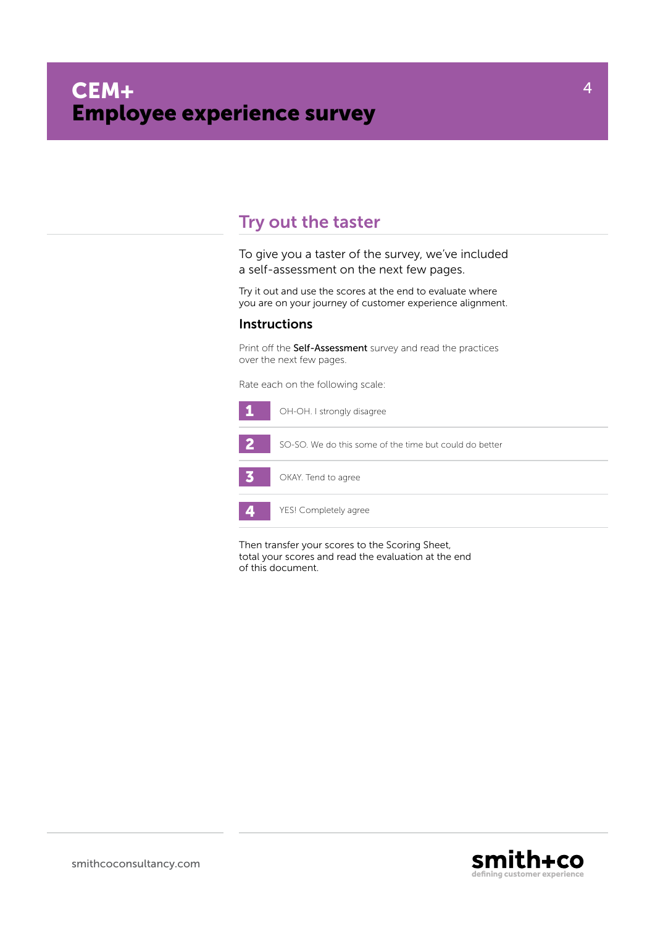### Try out the taster

To give you a taster of the survey, we've included a self-assessment on the next few pages.

Try it out and use the scores at the end to evaluate where you are on your journey of customer experience alignment.

#### **Instructions**

Print off the Self-Assessment survey and read the practices over the next few pages.

Rate each on the following scale:



Then transfer your scores to the Scoring Sheet, total your scores and read the evaluation at the end of this document.



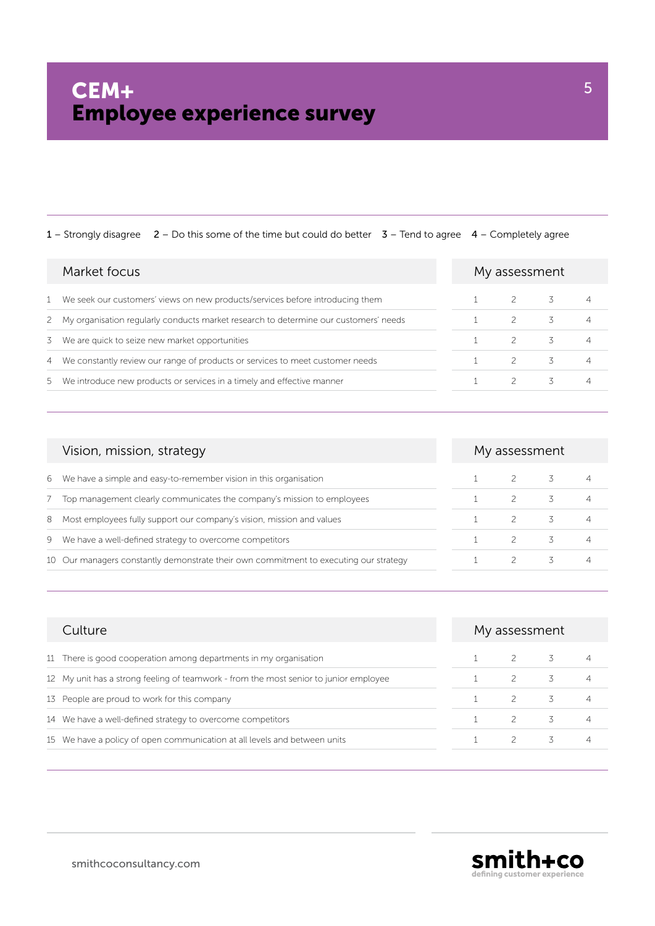|   | Market focus                                                                           | My assessment |   |  |  |
|---|----------------------------------------------------------------------------------------|---------------|---|--|--|
|   | We seek our customers' views on new products/services before introducing them          |               |   |  |  |
|   | 2 My organisation regularly conducts market research to determine our customers' needs |               |   |  |  |
| 3 | We are quick to seize new market opportunities                                         | $\mathcal{P}$ |   |  |  |
|   | 4 We constantly review our range of products or services to meet customer needs        | 2             | 3 |  |  |
|   | 5 We introduce new products or services in a timely and effective manner               |               |   |  |  |
|   |                                                                                        |               |   |  |  |

| Vision, mission, strategy                                                             | My assessment |                |   |
|---------------------------------------------------------------------------------------|---------------|----------------|---|
| We have a simple and easy-to-remember vision in this organisation<br>6                |               | $\overline{3}$ |   |
| Top management clearly communicates the company's mission to employees                |               |                | 4 |
| Most employees fully support our company's vision, mission and values<br>8            |               |                | 4 |
| We have a well-defined strategy to overcome competitors<br>9                          |               |                |   |
| 10 Our managers constantly demonstrate their own commitment to executing our strategy |               |                |   |

| Culture                                                                               | My assessment |                |  |
|---------------------------------------------------------------------------------------|---------------|----------------|--|
| 11 There is good cooperation among departments in my organisation                     | $\mathcal{P}$ | $\overline{3}$ |  |
| 12 My unit has a strong feeling of teamwork - from the most senior to junior employee | $\mathcal{P}$ |                |  |
| 13 People are proud to work for this company                                          | $\mathcal{P}$ |                |  |
| 14 We have a well-defined strategy to overcome competitors                            | $\mathcal{P}$ | 3              |  |
| 15 We have a policy of open communication at all levels and between units             |               |                |  |

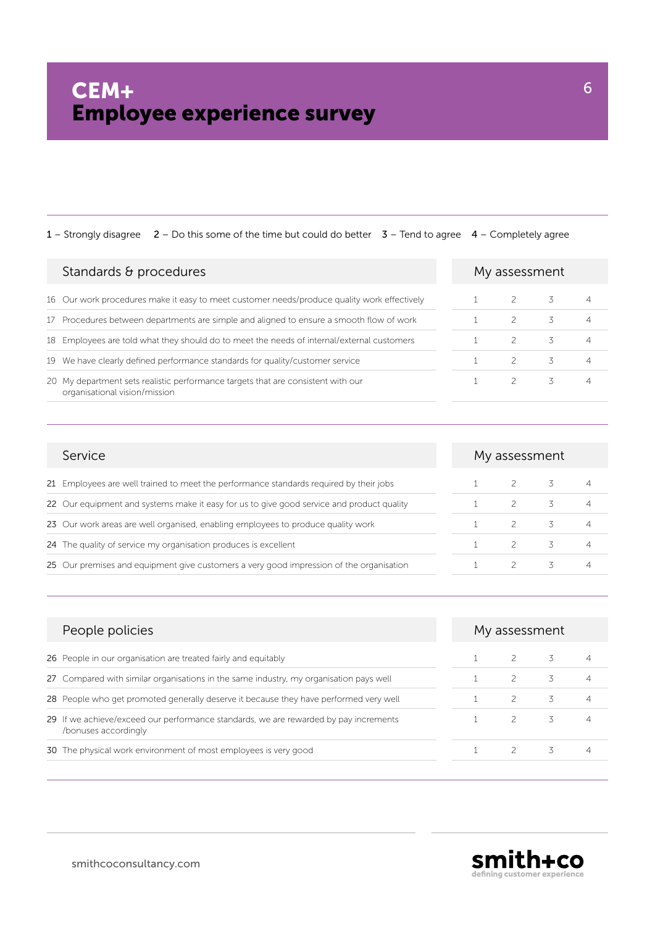| Standards $\theta$ procedures                                                                                     | My assessment |    |   |
|-------------------------------------------------------------------------------------------------------------------|---------------|----|---|
| 16 Our work procedures make it easy to meet customer needs/produce quality work effectively                       | $\mathcal{P}$ | 3. | 4 |
| 17 Procedures between departments are simple and aligned to ensure a smooth flow of work                          |               | 3  | 4 |
| 18 Employees are told what they should do to meet the needs of internal/external customers                        | $\mathcal{P}$ | 3  | 4 |
| 19 We have clearly defined performance standards for quality/customer service                                     | 2             | 3  | 4 |
| 20 My department sets realistic performance targets that are consistent with our<br>organisational vision/mission | $\mathcal{P}$ | 3  | 4 |

| Service                                                                                   | My assessment |  |   |
|-------------------------------------------------------------------------------------------|---------------|--|---|
| 21 Employees are well trained to meet the performance standards required by their jobs    |               |  |   |
| 22 Our equipment and systems make it easy for us to give good service and product quality |               |  | 4 |
| 23 Our work areas are well organised, enabling employees to produce quality work          |               |  | 4 |
| 24 The quality of service my organisation produces is excellent                           |               |  |   |
| 25 Our premises and equipment give customers a very good impression of the organisation   |               |  | 4 |

| People policies                                                                                              | My assessment |    |   |
|--------------------------------------------------------------------------------------------------------------|---------------|----|---|
| 26 People in our organisation are treated fairly and equitably                                               | $\mathcal{P}$ | 3  |   |
| 27 Compared with similar organisations in the same industry, my organisation pays well                       | $\mathcal{P}$ | 3  |   |
| 28 People who get promoted generally deserve it because they have performed very well                        |               | 3  |   |
| 29 If we achieve/exceed our performance standards, we are rewarded by pay increments<br>/bonuses accordingly |               | 3. | 4 |
| 30 The physical work environment of most employees is very good                                              |               | 3. |   |

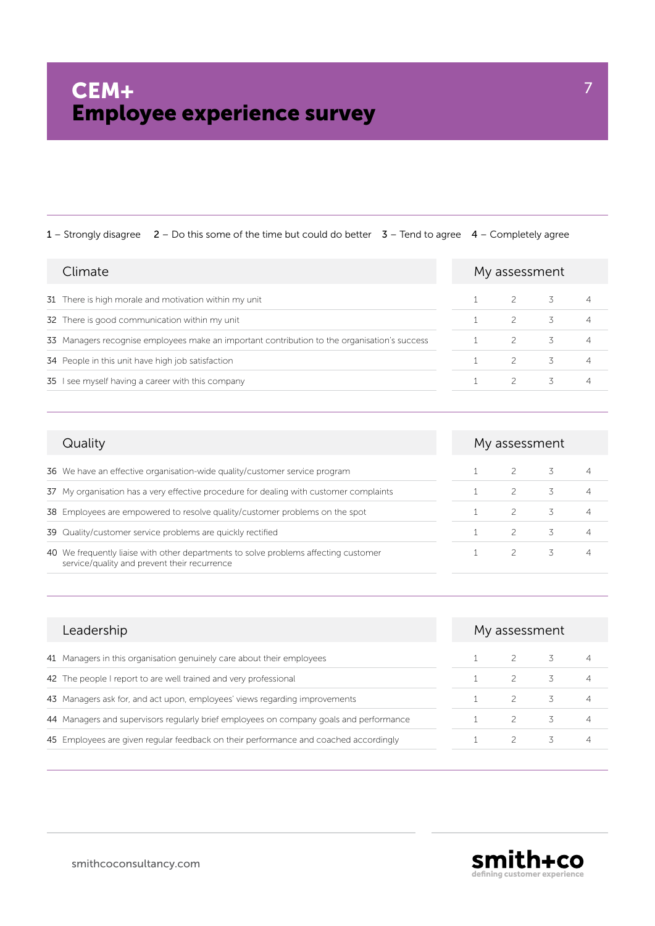| Climate                                                                                      | My assessment |   |  |
|----------------------------------------------------------------------------------------------|---------------|---|--|
| 31 There is high morale and motivation within my unit                                        | $\mathcal{P}$ | 3 |  |
| 32 There is good communication within my unit                                                | $\mathcal{P}$ | 3 |  |
| 33 Managers recognise employees make an important contribution to the organisation's success | 2             | 3 |  |
| 34 People in this unit have high job satisfaction                                            | $\mathcal{P}$ | 3 |  |
| 35 I see myself having a career with this company                                            | $\mathcal{L}$ | 3 |  |

| Quality                                                                                                                             | My assessment |   |                |
|-------------------------------------------------------------------------------------------------------------------------------------|---------------|---|----------------|
| 36 We have an effective organisation-wide quality/customer service program                                                          |               | 3 | $\overline{4}$ |
| 37 My organisation has a very effective procedure for dealing with customer complaints                                              |               | 3 | $\overline{4}$ |
| 38 Employees are empowered to resolve quality/customer problems on the spot                                                         |               | 3 | $\overline{4}$ |
| 39 Quality/customer service problems are quickly rectified                                                                          |               | 3 | $\overline{4}$ |
| 40 We frequently liaise with other departments to solve problems affecting customer<br>service/quality and prevent their recurrence |               | 3 | 4              |

| Leadership                                                                             | My assessment |                                   |   |  |
|----------------------------------------------------------------------------------------|---------------|-----------------------------------|---|--|
| 41 Managers in this organisation genuinely care about their employees                  |               | $\overline{3}$ and $\overline{3}$ |   |  |
| 42 The people I report to are well trained and very professional                       |               | 3                                 |   |  |
| 43 Managers ask for, and act upon, employees' views regarding improvements             |               | 3                                 |   |  |
| 44 Managers and supervisors regularly brief employees on company goals and performance | $\mathcal{P}$ | 3                                 | 4 |  |
| 45 Employees are given regular feedback on their performance and coached accordingly   |               | 3                                 |   |  |

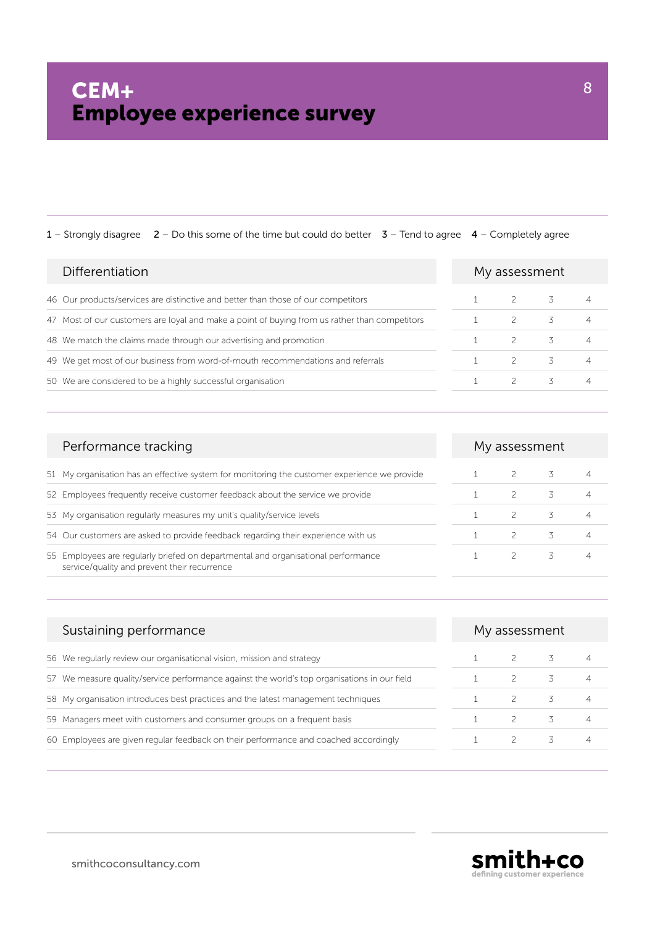| Differentiation                                                                               | My assessment |   |  |
|-----------------------------------------------------------------------------------------------|---------------|---|--|
| 46 Our products/services are distinctive and better than those of our competitors             |               |   |  |
| 47 Most of our customers are loyal and make a point of buying from us rather than competitors |               |   |  |
| 48 We match the claims made through our advertising and promotion                             | $\mathcal{P}$ |   |  |
| 49 We get most of our business from word-of-mouth recommendations and referrals               | $\mathcal{P}$ | 3 |  |
| 50 We are considered to be a highly successful organisation                                   |               | 3 |  |

| Performance tracking                                                                                                              | My assessment |   |   |
|-----------------------------------------------------------------------------------------------------------------------------------|---------------|---|---|
| 51 My organisation has an effective system for monitoring the customer experience we provide                                      |               |   |   |
| 52 Employees frequently receive customer feedback about the service we provide                                                    |               | 3 | 4 |
| 53 My organisation regularly measures my unit's quality/service levels                                                            |               | 3 | 4 |
| 54 Our customers are asked to provide feedback regarding their experience with us                                                 |               | 3 | 4 |
| 55 Employees are regularly briefed on departmental and organisational performance<br>service/quality and prevent their recurrence |               | 3 | 4 |

| Sustaining performance                                                                       | My assessment |  |  |
|----------------------------------------------------------------------------------------------|---------------|--|--|
| 56 We regularly review our organisational vision, mission and strategy                       |               |  |  |
| 57 We measure quality/service performance against the world's top organisations in our field |               |  |  |
| 58 My organisation introduces best practices and the latest management techniques            |               |  |  |
| 59 Managers meet with customers and consumer groups on a frequent basis                      |               |  |  |
| 60 Employees are given regular feedback on their performance and coached accordingly         |               |  |  |



smithcoconsultancy.com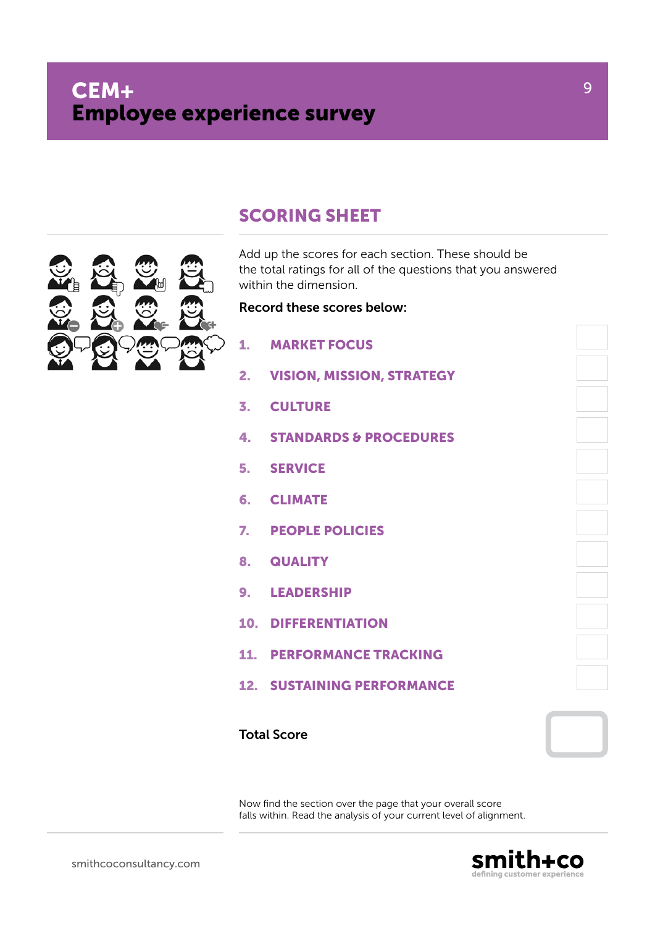

# SCORING SHEET

Add up the scores for each section. These should be the total ratings for all of the questions that you answered within the dimension.

#### Record these scores below:

| 1.           | <b>MARKET FOCUS</b>               |  |
|--------------|-----------------------------------|--|
| 2.           | <b>VISION, MISSION, STRATEGY</b>  |  |
|              | <b>CULTURE</b>                    |  |
| 4.           | <b>STANDARDS &amp; PROCEDURES</b> |  |
|              | <b>5. SERVICE</b>                 |  |
|              | 6. CLIMATE                        |  |
| $\mathbf{z}$ | <b>PEOPLE POLICIES</b>            |  |
| 8.           | <b>QUALITY</b>                    |  |
|              | 9. LEADERSHIP                     |  |
|              | <b>10. DIFFERENTIATION</b>        |  |
| 11.          | <b>PERFORMANCE TRACKING</b>       |  |
|              | <b>12. SUSTAINING PERFORMANCE</b> |  |
|              |                                   |  |

### Total Score

Now find the section over the page that your overall score falls within. Read the analysis of your current level of alignment.

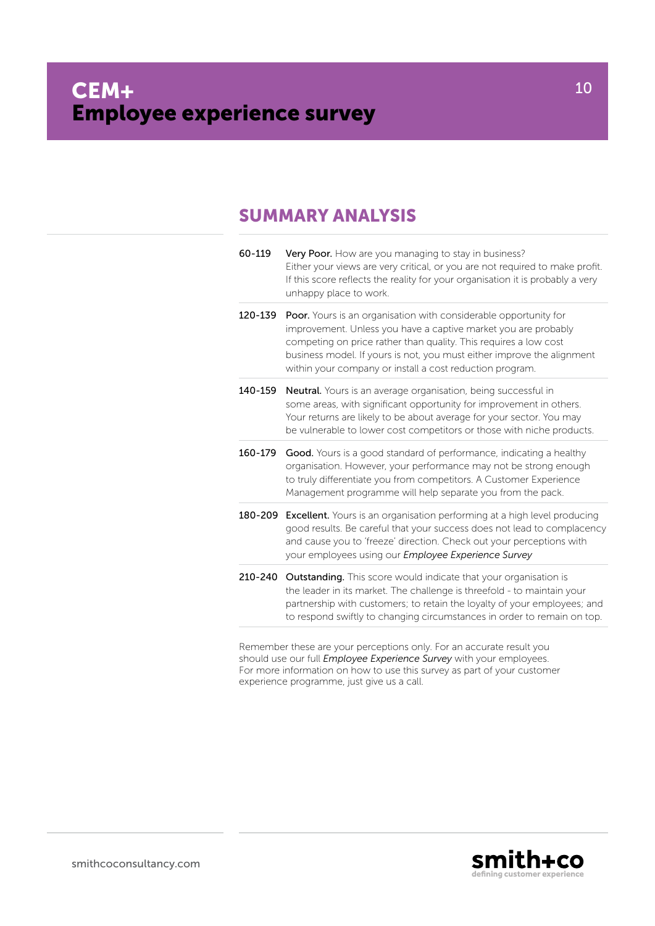# SUMMARY ANALYSIS

| 60-119  | Very Poor. How are you managing to stay in business?<br>Either your views are very critical, or you are not required to make profit.<br>If this score reflects the reality for your organisation it is probably a very<br>unhappy place to work.                                                                                                    |
|---------|-----------------------------------------------------------------------------------------------------------------------------------------------------------------------------------------------------------------------------------------------------------------------------------------------------------------------------------------------------|
| 120-139 | <b>Poor.</b> Yours is an organisation with considerable opportunity for<br>improvement. Unless you have a captive market you are probably<br>competing on price rather than quality. This requires a low cost<br>business model. If yours is not, you must either improve the alignment<br>within your company or install a cost reduction program. |
| 140-159 | <b>Neutral.</b> Yours is an average organisation, being successful in<br>some areas, with significant opportunity for improvement in others.<br>Your returns are likely to be about average for your sector. You may<br>be vulnerable to lower cost competitors or those with niche products.                                                       |
| 160-179 | <b>Good.</b> Yours is a good standard of performance, indicating a healthy<br>organisation. However, your performance may not be strong enough<br>to truly differentiate you from competitors. A Customer Experience<br>Management programme will help separate you from the pack.                                                                  |
|         | <b>180-209 Excellent.</b> Yours is an organisation performing at a high level producing<br>good results. Be careful that your success does not lead to complacency<br>and cause you to 'freeze' direction. Check out your perceptions with<br>your employees using our <i>Employee Experience Survey</i>                                            |
| 210-240 | <b>Outstanding.</b> This score would indicate that your organisation is<br>the leader in its market. The challenge is threefold - to maintain your<br>partnership with customers; to retain the loyalty of your employees; and<br>to respond swiftly to changing circumstances in order to remain on top.                                           |
|         |                                                                                                                                                                                                                                                                                                                                                     |

Remember these are your perceptions only. For an accurate result you should use our full *Employee Experience Survey* with your employees. For more information on how to use this survey as part of your customer experience programme, just give us a call.



10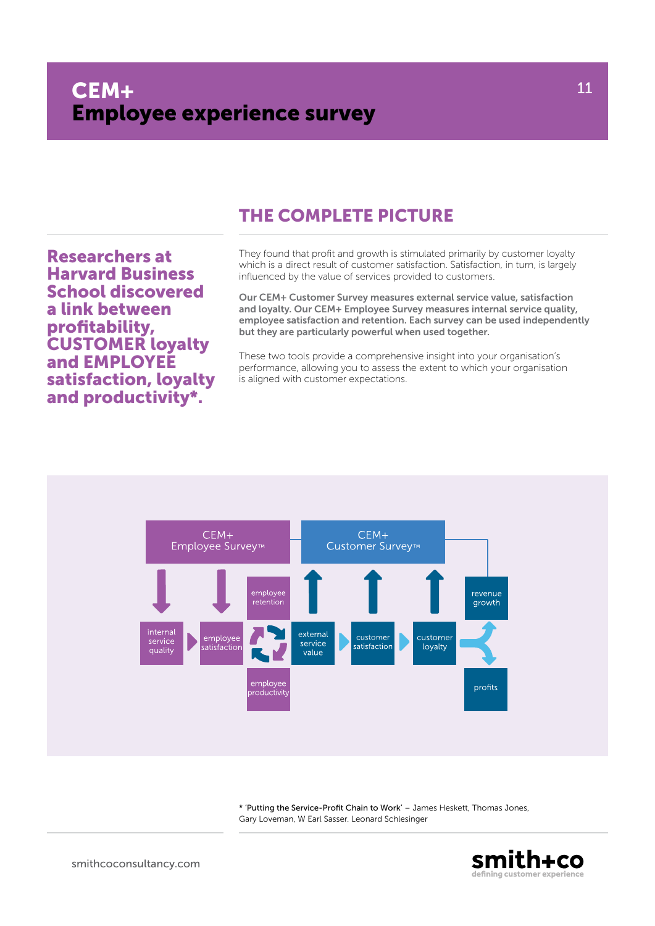# The complete picture

Researchers at Harvard Business School discovered a link between profitability, CUSTOMER loyalty and EMPLOYEE satisfaction, loyalty and productivity\*.

They found that profit and growth is stimulated primarily by customer loyalty which is a direct result of customer satisfaction. Satisfaction, in turn, is largely influenced by the value of services provided to customers.

Our CEM+ Customer Survey measures external service value, satisfaction and loyalty. Our CEM+ Employee Survey measures internal service quality, employee satisfaction and retention. Each survey can be used independently but they are particularly powerful when used together.

These two tools provide a comprehensive insight into your organisation's performance, allowing you to assess the extent to which your organisation is aligned with customer expectations.



\* 'Putting the Service-Profit Chain to Work' – James Heskett, Thomas Jones, Gary Loveman, W Earl Sasser. Leonard Schlesinger